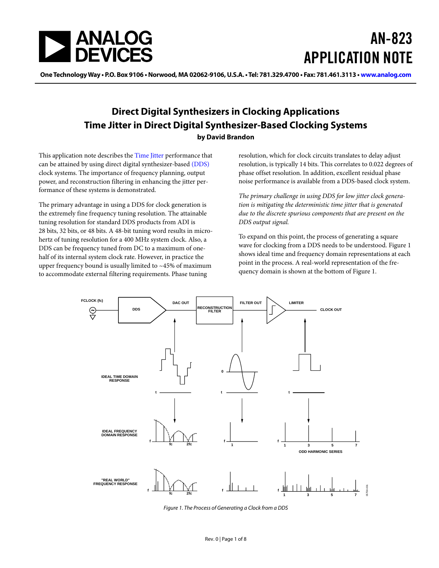<span id="page-0-0"></span>

# AN-823 APPLICATION NOTE

**One Technology Way • P.O. Box 9106 • Norwood, MA 02062-9106, U.S.A. • Tel: 781.329.4700 • Fax: 781.461.3113 • www.analog.com**

### **Direct Digital Synthesizers in Clocking Applications Time Jitter in Direct Digital Synthesizer-Based Clocking Systems**

#### **by David Brandon**

This application note describes the [Time Jitter](#page-5-0) performance that can be attained by using direct digital synthesizer-based [\(DDS\)](#page-5-0) clock systems. The importance of frequency planning, output power, and reconstruction filtering in enhancing the jitter performance of these systems is demonstrated.

The primary advantage in using a DDS for clock generation is the extremely fine frequency tuning resolution. The attainable tuning resolution for standard DDS products from ADI is 28 bits, 32 bits, or 48 bits. A 48-bit tuning word results in microhertz of tuning resolution for a 400 MHz system clock. Also, a DDS can be frequency tuned from DC to a maximum of onehalf of its internal system clock rate. However, in practice the upper frequency bound is usually limited to  $~15\%$  of maximum to accommodate external filtering requirements. Phase tuning

resolution, which for clock circuits translates to delay adjust resolution, is typically 14 bits. This correlates to 0.022 degrees of phase offset resolution. In addition, excellent residual phase noise performance is available from a DDS-based clock system.

*The primary challenge in using DDS for low jitter clock generation is mitigating the deterministic time jitter that is generated due to the discrete spurious components that are present on the DDS output signal.* 

To expand on this point, the process of generating a square wave for clocking from a DDS needs to be understood. Figure 1 shows ideal time and frequency domain representations at each point in the process. A real-world representation of the frequency domain is shown at the bottom of Figure 1.



Figure 1. The Process of Generating a Clock from a DDS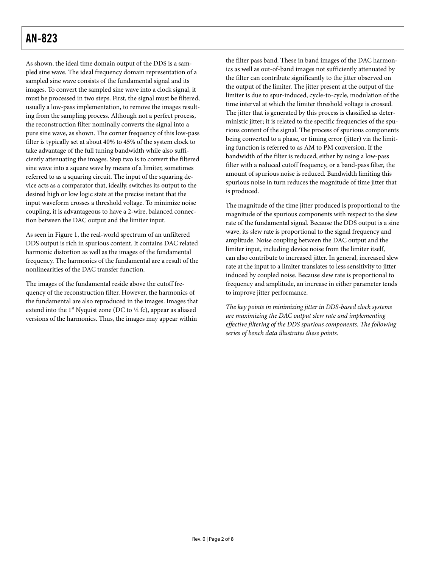### AN-823

As shown, the ideal time domain output of the DDS is a sampled sine wave. The ideal frequency domain representation of a sampled sine wave consists of the fundamental signal and its images. To convert the sampled sine wave into a clock signal, it must be processed in two steps. First, the signal must be filtered, usually a low-pass implementation, to remove the images resulting from the sampling process. Although not a perfect process, the reconstruction filter nominally converts the signal into a pure sine wave, as shown. The corner frequency of this low-pass filter is typically set at about 40% to 45% of the system clock to take advantage of the full tuning bandwidth while also sufficiently attenuating the images. Step two is to convert the filtered sine wave into a square wave by means of a limiter, sometimes referred to as a squaring circuit. The input of the squaring device acts as a comparator that, ideally, switches its output to the desired high or low logic state at the precise instant that the input waveform crosses a threshold voltage. To minimize noise coupling, it is advantageous to have a 2-wire, balanced connection between the DAC output and the limiter input.

As seen in [Figure 1](#page-0-0), the real-world spectrum of an unfiltered DDS output is rich in spurious content. It contains DAC related harmonic distortion as well as the images of the fundamental frequency. The harmonics of the fundamental are a result of the nonlinearities of the DAC transfer function.

The images of the fundamental reside above the cutoff frequency of the reconstruction filter. However, the harmonics of the fundamental are also reproduced in the images. Images that extend into the 1<sup>st</sup> Nyquist zone (DC to  $\frac{1}{2}$  fc), appear as aliased versions of the harmonics. Thus, the images may appear within

the filter pass band. These in band images of the DAC harmonics as well as out-of-band images not sufficiently attenuated by the filter can contribute significantly to the jitter observed on the output of the limiter. The jitter present at the output of the limiter is due to spur-induced, cycle-to-cycle, modulation of the time interval at which the limiter threshold voltage is crossed. The jitter that is generated by this process is classified as deterministic jitter; it is related to the specific frequencies of the spurious content of the signal. The process of spurious components being converted to a phase, or timing error (jitter) via the limiting function is referred to as AM to PM conversion. If the bandwidth of the filter is reduced, either by using a low-pass filter with a reduced cutoff frequency, or a band-pass filter, the amount of spurious noise is reduced. Bandwidth limiting this spurious noise in turn reduces the magnitude of time jitter that is produced.

The magnitude of the time jitter produced is proportional to the magnitude of the spurious components with respect to the slew rate of the fundamental signal. Because the DDS output is a sine wave, its slew rate is proportional to the signal frequency and amplitude. Noise coupling between the DAC output and the limiter input, including device noise from the limiter itself, can also contribute to increased jitter. In general, increased slew rate at the input to a limiter translates to less sensitivity to jitter induced by coupled noise. Because slew rate is proportional to frequency and amplitude, an increase in either parameter tends to improve jitter performance.

*The key points in minimizing jitter in DDS-based clock systems are maximizing the DAC output slew rate and implementing effective filtering of the DDS spurious components. The following series of bench data illustrates these points.*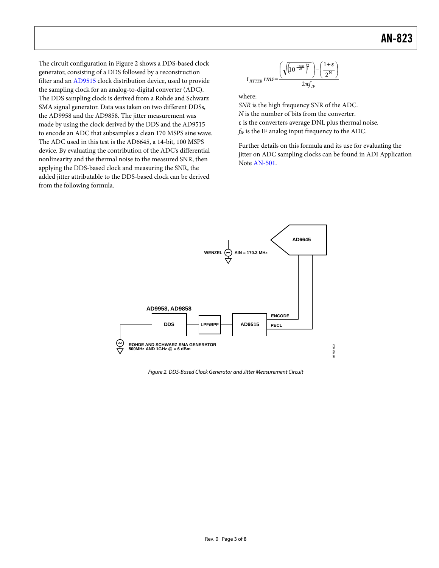<span id="page-2-1"></span><span id="page-2-0"></span>The circuit configuration in Figure 2 shows a DDS-based clock generator, consisting of a DDS followed by a reconstruction filter and an [AD9515](http://www.analog.com/en/prod/0%2C2877%2CAD9515%2C00.html) clock distribution device, used to provide the sampling clock for an analog-to-digital converter (ADC). The DDS sampling clock is derived from a Rohde and Schwarz SMA signal generator. Data was taken on two different DDSs, the AD9958 and the AD9858. The jitter measurement was made by using the clock derived by the DDS and the AD9515 to encode an ADC that subsamples a clean 170 MSPS sine wave. The ADC used in this test is the AD6645, a 14-bit, 100 MSPS device. By evaluating the contribution of the ADC's differential nonlinearity and the thermal noise to the measured SNR, then applying the DDS-based clock and measuring the SNR, the added jitter attributable to the DDS-based clock can be derived from the following formula.

$$
t_{\text{DTTER}}\text{rms}=\frac{\left(\sqrt{\left(10^{\frac{-SNR}{20}}\right)^2}\right)-\left(\frac{1+\varepsilon}{2^N}\right)}{2\pi f_{\text{IF}}}
$$

where:

*SNR* is the high frequency SNR of the ADC. *N* is the number of bits from the converter. ε is the converters average DNL plus thermal noise. *f<sub>IF</sub>* is the IF analog input frequency to the ADC.

Further details on this formula and its use for evaluating the jitter on ADC sampling clocks can be found in ADI Application Note [AN-501](http://www.analog.com/UploadedFiles/Application_Notes/3956522730668848977365163734AN501.pdf#xml=http://search.analog.com/search/pdfPainter.aspx?url=http://www.analog.com/UploadedFiles/Application_Notes/3956522730668848977365163734AN501.pdf&fterm=AN-501&fte).



Figure 2. DDS-Based Clock Generator and Jitter Measurement Circuit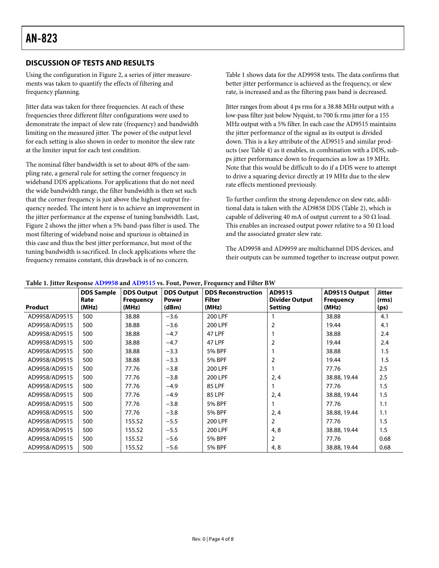#### **DISCUSSION OF TESTS AND RESULTS**

Using the configuration in [Figure 2](#page-2-0), a series of jitter measurements was taken to quantify the effects of filtering and frequency planning.

Jitter data was taken for three frequencies. At each of these frequencies three different filter configurations were used to demonstrate the impact of slew rate (frequency) and bandwidth limiting on the measured jitter. The power of the output level for each setting is also shown in order to monitor the slew rate at the limiter input for each test condition.

The nominal filter bandwidth is set to about 40% of the sampling rate, a general rule for setting the corner frequency in wideband DDS applications. For applications that do not need the wide bandwidth range, the filter bandwidth is then set such that the corner frequency is just above the highest output frequency needed. The intent here is to achieve an improvement in the jitter performance at the expense of tuning bandwidth. Last, [Figure 2](#page-2-1) shows the jitter when a 5% band-pass filter is used. The most filtering of wideband noise and spurious is obtained in this case and thus the best jitter performance, but most of the tuning bandwidth is sacrificed. In clock applications where the frequency remains constant, this drawback is of no concern.

Table 1 shows data for the AD9958 tests. The data confirms that better jitter performance is achieved as the frequency, or slew rate, is increased and as the filtering pass band is decreased.

Jitter ranges from about 4 ps rms for a 38.88 MHz output with a low-pass filter just below Nyquist, to 700 fs rms jitter for a 155 MHz output with a 5% filter. In each case the AD9515 maintains the jitter performance of the signal as its output is divided down. This is a key attribute of the AD9515 and similar products (see [Table 4\)](#page-5-1) as it enables, in combination with a DDS, subps jitter performance down to frequencies as low as 19 MHz. Note that this would be difficult to do if a DDS were to attempt to drive a squaring device directly at 19 MHz due to the slew rate effects mentioned previously.

To further confirm the strong dependence on slew rate, additional data is taken with the AD9858 DDS ([Table 2\)](#page-4-0), which is capable of delivering 40 mA of output current to a 50  $\Omega$  load. This enables an increased output power relative to a 50  $\Omega$  load and the associated greater slew rate.

The AD9958 and AD9959 are multichannel DDS devices, and their outputs can be summed together to increase output power.

|               | <b>DDS Sample</b><br>Rate | <b>DDS Output</b><br><b>Frequency</b> | <b>DDS Output</b><br><b>Power</b> | <b>DDS Reconstruction</b><br><b>Filter</b> | AD9515<br><b>Divider Output</b> | AD9515 Output<br><b>Frequency</b> | <b>Jitter</b><br>(rms) |
|---------------|---------------------------|---------------------------------------|-----------------------------------|--------------------------------------------|---------------------------------|-----------------------------------|------------------------|
| Product       | (MHz)                     | (MHz)                                 | (dBm)                             | (MHz)                                      | <b>Setting</b>                  | (MHz)                             | (ps)                   |
| AD9958/AD9515 | 500                       | 38.88                                 | $-3.6$                            | 200 LPF                                    |                                 | 38.88                             | 4.1                    |
| AD9958/AD9515 | 500                       | 38.88                                 | $-3.6$                            | 200 LPF                                    | $\overline{2}$                  | 19.44                             | 4.1                    |
| AD9958/AD9515 | 500                       | 38.88                                 | $-4.7$                            | 47 LPF                                     |                                 | 38.88                             | 2.4                    |
| AD9958/AD9515 | 500                       | 38.88                                 | $-4.7$                            | 47 LPF                                     | $\overline{2}$                  | 19.44                             | 2.4                    |
| AD9958/AD9515 | 500                       | 38.88                                 | $-3.3$                            | 5% BPF                                     |                                 | 38.88                             | 1.5                    |
| AD9958/AD9515 | 500                       | 38.88                                 | $-3.3$                            | <b>5% BPF</b>                              | $\overline{2}$                  | 19.44                             | 1.5                    |
| AD9958/AD9515 | 500                       | 77.76                                 | $-3.8$                            | 200 LPF                                    |                                 | 77.76                             | 2.5                    |
| AD9958/AD9515 | 500                       | 77.76                                 | $-3.8$                            | 200 LPF                                    | 2, 4                            | 38.88, 19.44                      | 2.5                    |
| AD9958/AD9515 | 500                       | 77.76                                 | $-4.9$                            | <b>85 LPF</b>                              |                                 | 77.76                             | 1.5                    |
| AD9958/AD9515 | 500                       | 77.76                                 | $-4.9$                            | 85 LPF                                     | 2,4                             | 38.88, 19.44                      | 1.5                    |
| AD9958/AD9515 | 500                       | 77.76                                 | $-3.8$                            | 5% BPF                                     |                                 | 77.76                             | 1.1                    |
| AD9958/AD9515 | 500                       | 77.76                                 | $-3.8$                            | <b>5% BPF</b>                              | 2,4                             | 38.88, 19.44                      | 1.1                    |
| AD9958/AD9515 | 500                       | 155.52                                | $-5.5$                            | 200 LPF                                    | 2                               | 77.76                             | 1.5                    |
| AD9958/AD9515 | 500                       | 155.52                                | $-5.5$                            | 200 LPF                                    | 4, 8                            | 38.88, 19.44                      | 1.5                    |
| AD9958/AD9515 | 500                       | 155.52                                | $-5.6$                            | <b>5% BPF</b>                              | $\overline{2}$                  | 77.76                             | 0.68                   |
| AD9958/AD9515 | 500                       | 155.52                                | $-5.6$                            | <b>5% BPF</b>                              | 4, 8                            | 38.88, 19.44                      | 0.68                   |

**Table 1. Jitter Response [AD9958](http://www.analog.com/en/prod/0%2C2877%2CAD9958%2C00.html) and [AD9515](http://www.analog.com/en/prod/0%2C2877%2CAD9515%2C00.html) vs. Fout, Power, Frequency and Filter BW**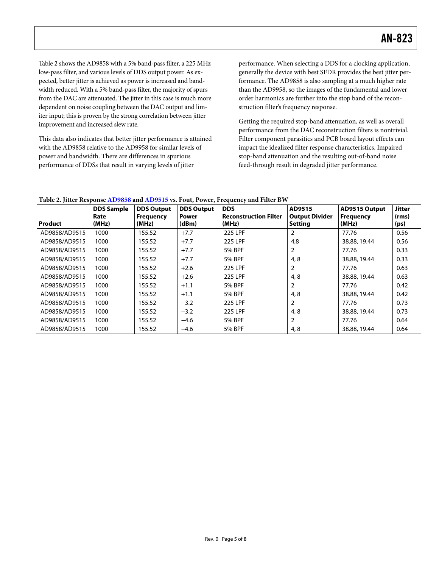<span id="page-4-0"></span>Table 2 shows the AD9858 with a 5% band-pass filter, a 225 MHz low-pass filter, and various levels of DDS output power. As expected, better jitter is achieved as power is increased and bandwidth reduced. With a 5% band-pass filter, the majority of spurs from the DAC are attenuated. The jitter in this case is much more dependent on noise coupling between the DAC output and limiter input; this is proven by the strong correlation between jitter improvement and increased slew rate.

This data also indicates that better jitter performance is attained with the AD9858 relative to the AD9958 for similar levels of power and bandwidth. There are differences in spurious performance of DDSs that result in varying levels of jitter

performance. When selecting a DDS for a clocking application, generally the device with best SFDR provides the best jitter performance. The AD9858 is also sampling at a much higher rate than the AD9958, so the images of the fundamental and lower order harmonics are further into the stop band of the reconstruction filter's frequency response.

Getting the required stop-band attenuation, as well as overall performance from the DAC reconstruction filters is nontrivial. Filter component parasitics and PCB board layout effects can impact the idealized filter response characteristics. Impaired stop-band attenuation and the resulting out-of-band noise feed-through result in degraded jitter performance.

| Product       | <b>DDS Sample</b><br>Rate<br>(MHz) | <b>DDS Output</b><br>Frequency<br>(MHz) | <b>DDS Output</b><br><b>Power</b><br>(dBm) | <b>DDS</b><br><b>Reconstruction Filter</b><br>(MHz) | AD9515<br><b>Output Divider</b><br><b>Setting</b> | <b>AD9515 Output</b><br><b>Frequency</b><br>(MHz) | <b>Jitter</b><br>(rms)<br>(ps) |
|---------------|------------------------------------|-----------------------------------------|--------------------------------------------|-----------------------------------------------------|---------------------------------------------------|---------------------------------------------------|--------------------------------|
| AD9858/AD9515 | 1000                               | 155.52                                  | $+7.7$                                     | 225 LPF                                             | $\overline{2}$                                    | 77.76                                             | 0.56                           |
| AD9858/AD9515 | 1000                               | 155.52                                  | $+7.7$                                     | 225 LPF                                             | 4,8                                               | 38.88, 19.44                                      | 0.56                           |
| AD9858/AD9515 | 1000                               | 155.52                                  | $+7.7$                                     | 5% BPF                                              | $\overline{2}$                                    | 77.76                                             | 0.33                           |
| AD9858/AD9515 | 1000                               | 155.52                                  | $+7.7$                                     | 5% BPF                                              | 4,8                                               | 38.88, 19.44                                      | 0.33                           |
| AD9858/AD9515 | 1000                               | 155.52                                  | $+2.6$                                     | 225 LPF                                             | $\overline{2}$                                    | 77.76                                             | 0.63                           |
| AD9858/AD9515 | 1000                               | 155.52                                  | $+2.6$                                     | 225 LPF                                             | 4,8                                               | 38.88, 19.44                                      | 0.63                           |
| AD9858/AD9515 | 1000                               | 155.52                                  | $+1.1$                                     | 5% BPF                                              | $\overline{2}$                                    | 77.76                                             | 0.42                           |
| AD9858/AD9515 | 1000                               | 155.52                                  | $+1.1$                                     | 5% BPF                                              | 4,8                                               | 38.88, 19.44                                      | 0.42                           |
| AD9858/AD9515 | 1000                               | 155.52                                  | $-3.2$                                     | 225 LPF                                             | $\overline{2}$                                    | 77.76                                             | 0.73                           |
| AD9858/AD9515 | 1000                               | 155.52                                  | $-3.2$                                     | 225 LPF                                             | 4,8                                               | 38.88, 19.44                                      | 0.73                           |
| AD9858/AD9515 | 1000                               | 155.52                                  | $-4.6$                                     | <b>5% BPF</b>                                       | $\overline{2}$                                    | 77.76                                             | 0.64                           |
| AD9858/AD9515 | 1000                               | 155.52                                  | $-4.6$                                     | <b>5% BPF</b>                                       | 4,8                                               | 38.88, 19.44                                      | 0.64                           |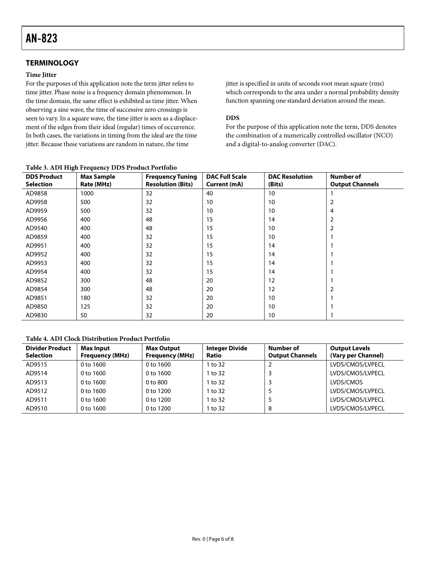#### <span id="page-5-1"></span><span id="page-5-0"></span>**TERMINOLOGY**

#### **Time Jitter**

For the purposes of this application note the term jitter refers to time jitter. Phase noise is a frequency domain phenomenon. In the time domain, the same effect is exhibited as time jitter. When observing a sine wave, the time of successive zero crossings is seen to vary. In a square wave, the time jitter is seen as a displacement of the edges from their ideal (regular) times of occurrence. In both cases, the variations in timing from the ideal are the time jitter. Because these variations are random in nature, the time

jitter is specified in units of seconds root mean square (rms) which corresponds to the area under a normal probability density function spanning one standard deviation around the mean.

#### **DDS**

For the purpose of this application note the term, DDS denotes the combination of a numerically controlled oscillator (NCO) and a digital-to-analog converter (DAC).

| <b>DDS Product</b> | <b>Max Sample</b> | <b>Frequency Tuning</b>  | <b>DAC Full Scale</b> | <b>DAC Resolution</b> | Number of              |
|--------------------|-------------------|--------------------------|-----------------------|-----------------------|------------------------|
| <b>Selection</b>   | Rate (MHz)        | <b>Resolution (Bits)</b> | Current (mA)          | (Bits)                | <b>Output Channels</b> |
| AD9858             | 1000              | 32                       | 40                    | 10                    |                        |
| AD9958             | 500               | 32                       | 10                    | 10                    | 2                      |
| AD9959             | 500               | 32                       | 10                    | 10                    | 4                      |
| AD9956             | 400               | 48                       | 15                    | 14                    | 2                      |
| AD9540             | 400               | 48                       | 15                    | 10                    |                        |
| AD9859             | 400               | 32                       | 15                    | 10                    |                        |
| AD9951             | 400               | 32                       | 15                    | 14                    |                        |
| AD9952             | 400               | 32                       | 15                    | 14                    |                        |
| AD9953             | 400               | 32                       | 15                    | 14                    |                        |
| AD9954             | 400               | 32                       | 15                    | 14                    |                        |
| AD9852             | 300               | 48                       | 20                    | 12                    |                        |
| AD9854             | 300               | 48                       | 20                    | 12                    |                        |
| AD9851             | 180               | 32                       | 20                    | 10                    |                        |
| AD9850             | 125               | 32                       | 20                    | 10                    |                        |
| AD9830             | 50                | 32                       | 20                    | 10                    |                        |

#### **Table 3. ADI High Frequency DDS Product Portfolio**

#### **Table 4. ADI Clock Distribution Product Portfolio**

| <b>Divider Product</b><br><b>Selection</b> | <b>Max Input</b><br><b>Frequency (MHz)</b> | <b>Max Output</b><br><b>Frequency (MHz)</b> | <b>Integer Divide</b><br>Ratio | Number of<br><b>Output Channels</b> | <b>Output Levels</b><br>(Vary per Channel) |
|--------------------------------------------|--------------------------------------------|---------------------------------------------|--------------------------------|-------------------------------------|--------------------------------------------|
| AD9515                                     | 0 to 1600                                  | 0 to 1600                                   | 1 to 32                        |                                     | LVDS/CMOS/LVPECL                           |
| AD9514                                     | $0$ to $1600$                              | 0 to 1600                                   | 1 to 32                        |                                     | LVDS/CMOS/LVPECL                           |
| AD9513                                     | 0 to 1600                                  | 0 to 800                                    | 1 to 32                        |                                     | LVDS/CMOS                                  |
| AD9512                                     | 0 to 1600                                  | 0 to 1200                                   | 1 to 32                        |                                     | LVDS/CMOS/LVPECL                           |
| AD9511                                     | $0$ to $1600$                              | 0 to 1200                                   | 1 to 32                        |                                     | LVDS/CMOS/LVPECL                           |
| AD9510                                     | $0$ to $1600$                              | 0 to 1200                                   | 1 to 32                        | 8                                   | LVDS/CMOS/LVPECL                           |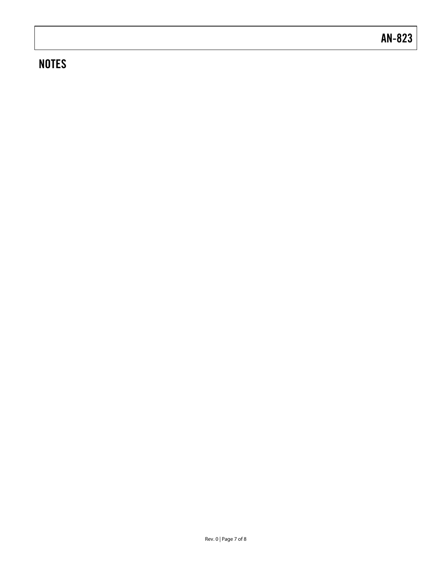### **NOTES**